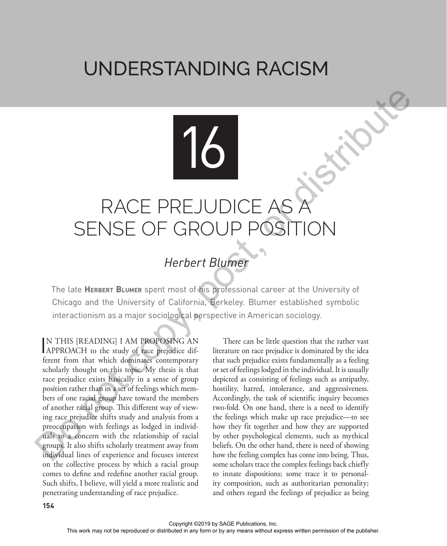## UNDERSTANDING RACISM

## RACE PREJUDICE AS SENSE OF GROUP POSI

16

## *Herbert Blumer*

The late **Herbert Blumer** spent most of his professional career at the University of Chicago and the University of California, Berkeley. Blumer established symbolic interactionism as a major sociological perspective in American sociology.

IN THIS [READING] I AM PROPOSING AN APPROACH to the study of race prejudice dif-APPROACH to the study of race prejudice different from that which dominates contemporary scholarly thought on this topic. My thesis is that race prejudice exists basically in a sense of group position rather than in a set of feelings which members of one racial group have toward the members of another racial group. This different way of viewing race prejudice shifts study and analysis from a preoccupation with feelings as lodged in individuals to a concern with the relationship of racial groups. It also shifts scholarly treatment away from individual lines of experience and focuses interest on the collective process by which a racial group comes to define and redefine another racial group. Such shifts, I believe, will yield a more realistic and penetrating understanding of race prejudice. The this means work may not be reproduced or distributed in any form or by any means with  $\sim$  be reproduced in any means without express without express without express with  $\sim$  distributed in any means with  $\sim$   $\sim$ 

There can be little question that the rather vast literature on race prejudice is dominated by the idea that such prejudice exists fundamentally as a feeling or set of feelings lodged in the individual. It is usually depicted as consisting of feelings such as antipathy, hostility, hatred, intolerance, and aggressiveness. Accordingly, the task of scientific inquiry becomes two-fold. On one hand, there is a need to identify the feelings which make up race prejudice—to see how they fit together and how they are supported by other psychological elements, such as mythical beliefs. On the other hand, there is need of showing how the feeling complex has come into being. Thus, some scholars trace the complex feelings back chiefly to innate dispositions; some trace it to personality composition, such as authoritarian personality; and others regard the feelings of prejudice as being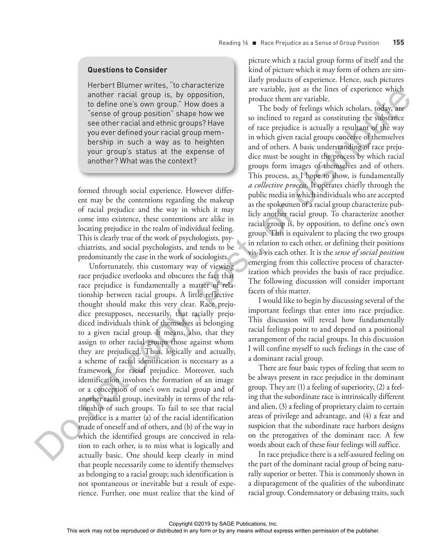## **Questions to Consider**

Herbert Blumer writes, "to characterize another racial group is, by opposition, to define one's own group." How does a "sense of group position" shape how we see other racial and ethnic groups? Have you ever defined your racial group membership in such a way as to heighten your group's status at the expense of another? What was the context?

formed through social experience. However different may be the contentions regarding the makeup of racial prejudice and the way in which it may come into existence, these contentions are alike in locating prejudice in the realm of individual feeling. This is clearly true of the work of psychologists, psychiatrists, and social psychologists, and tends to be predominantly the case in the work of sociologists.

Unfortunately, this customary way of viewing race prejudice overlooks and obscures the fact that race prejudice is fundamentally a matter of relationship between racial groups. A little reflective thought should make this very clear. Race prejudice presupposes, necessarily, that racially prejudiced individuals think of themselves as belonging to a given racial group. It means, also, that they assign to other racial groups those against whom they are prejudiced. Thus, logically and actually, a scheme of racial identification is necessary as a framework for racial prejudice. Moreover, such identification involves the formation of an image or a conception of one's own racial group and of another racial group, inevitably in terms of the relationship of such groups. To fail to see that racial prejudice is a matter (a) of the racial identification made of oneself and of others, and (b) of the way in which the identified groups are conceived in relation to each other, is to miss what is logically and actually basic. One should keep clearly in mind that people necessarily come to identify themselves as belonging to a racial group; such identification is not spontaneous or inevitable but a result of experience. Further, one must realize that the kind of and the computer or the state of the state of the rest in a state of the publisher. The state of the publisher and the state of the publisher of the publisher of the publisher of the publisher of the publisher of the publ

picture which a racial group forms of itself and the kind of picture which it may form of others are similarly products of experience. Hence, such pictures are variable, just as the lines of experience which produce them are variable.

The body of feelings which scholars, today, are so inclined to regard as constituting the substance of race prejudice is actually a resultant of the way in which given racial groups conceive of themselves and of others. A basic understanding of race prejudice must be sought in the process by which racial groups form images of themselves and of others. This process, as I hope to show, is fundamentally *a collective process.* It operates chiefly through the public media in which individuals who are accepted as the spokesmen of a racial group characterize publicly another racial group. To characterize another racial group is, by opposition, to define one's own group. This is equivalent to placing the two groups in relation to each other, or defining their positions vis-à-vis each other. It is the *sense of social position* emerging from this collective process of characterization which provides the basis of race prejudice. The following discussion will consider important facets of this matter.

I would like to begin by discussing several of the important feelings that enter into race prejudice. This discussion will reveal how fundamentally racial feelings point to and depend on a positional arrangement of the racial groups. In this discussion I will confine myself to such feelings in the case of a dominant racial group.

There are four basic types of feeling that seem to be always present in race prejudice in the dominant group. They are (1) a feeling of superiority, (2) a feeling that the subordinate race is intrinsically different and alien, (3) a feeling of proprietary claim to certain areas of privilege and advantage, and (4) a fear and suspicion that the subordinate race harbors designs on the prerogatives of the dominant race. A few words about each of these four feelings will suffice.

In race prejudice there is a self-assured feeling on the part of the dominant racial group of being naturally superior or better. This is commonly shown in a disparagement of the qualities of the subordinate racial group. Condemnatory or debasing traits, such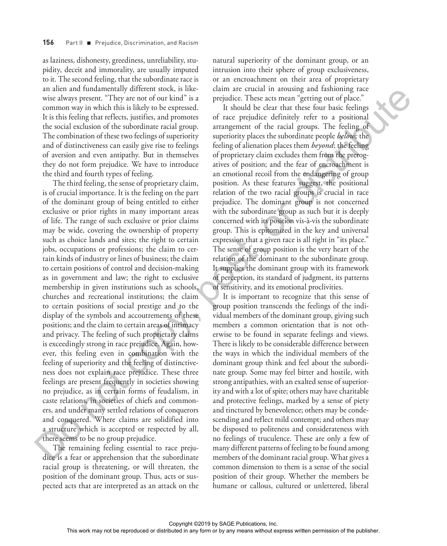as laziness, dishonesty, greediness, unreliability, stupidity, deceit and immorality, are usually imputed to it. The second feeling, that the subordinate race is an alien and fundamentally different stock, is likewise always present. "They are not of our kind" is a common way in which this is likely to be expressed. It is this feeling that reflects, justifies, and promotes the social exclusion of the subordinate racial group. The combination of these two feelings of superiority and of distinctiveness can easily give rise to feelings of aversion and even antipathy. But in themselves they do not form prejudice. We have to introduce the third and fourth types of feeling.

The third feeling, the sense of proprietary claim, is of crucial importance. It is the feeling on the part of the dominant group of being entitled to either exclusive or prior rights in many important areas of life. The range of such exclusive or prior claims may be wide, covering the ownership of property such as choice lands and sites; the right to certain jobs, occupations or professions; the claim to certain kinds of industry or lines of business; the claim to certain positions of control and decision-making as in government and law; the right to exclusive membership in given institutions such as schools, churches and recreational institutions; the claim to certain positions of social prestige and to the display of the symbols and accoutrements of these positions; and the claim to certain areas of intimacy and privacy. The feeling of such proprietary claims is exceedingly strong in race prejudice. Again, however, this feeling even in combination with the feeling of superiority and the feeling of distinctiveness does not explain race prejudice. These three feelings are present frequently in societies showing no prejudice, as in certain forms of feudalism, in caste relations, in societies of chiefs and commoners, and under many settled relations of conquerors and conquered. Where claims are solidified into a structure which is accepted or respected by all, there seems to be no group prejudice. AT an in Anti-Bulain in any function of the reproduced or distributed in a means we reproduced the reproduced or distributed in any form or by any means with the results with the final in any form of the publisher. The fi

The remaining feeling essential to race prejudice is a fear or apprehension that the subordinate racial group is threatening, or will threaten, the position of the dominant group. Thus, acts or suspected acts that are interpreted as an attack on the

natural superiority of the dominant group, or an intrusion into their sphere of group exclusiveness, or an encroachment on their area of proprietary claim are crucial in arousing and fashioning race prejudice. These acts mean "getting out of place."

It should be clear that these four basic feelings of race prejudice definitely refer to a positional arrangement of the racial groups. The feeling of superiority places the subordinate people *below;* the feeling of alienation places them *beyond*; the feeling of proprietary claim excludes them from the prerogatives of position; and the fear of encroachment is an emotional recoil from the endangering of group position. As these features suggest, the positional relation of the two racial groups is crucial in race prejudice. The dominant group is not concerned with the subordinate group as such but it is deeply concerned with its position vis-à-vis the subordinate group. This is epitomized in the key and universal expression that a given race is all right in "its place." The sense of group position is the very heart of the relation of the dominant to the subordinate group. It supplies the dominant group with its framework of perception, its standard of judgment, its patterns of sensitivity, and its emotional proclivities.

It is important to recognize that this sense of group position transcends the feelings of the individual members of the dominant group, giving such members a common orientation that is not otherwise to be found in separate feelings and views. There is likely to be considerable difference between the ways in which the individual members of the dominant group think and feel about the subordinate group. Some may feel bitter and hostile, with strong antipathies, with an exalted sense of superiority and with a lot of spite; others may have charitable and protective feelings, marked by a sense of piety and tinctured by benevolence; others may be condescending and reflect mild contempt; and others may be disposed to politeness and considerateness with no feelings of truculence. These are only a few of many different patterns of feeling to be found among members of the dominant racial group. What gives a common dimension to them is a sense of the social position of their group. Whether the members be humane or callous, cultured or unlettered, liberal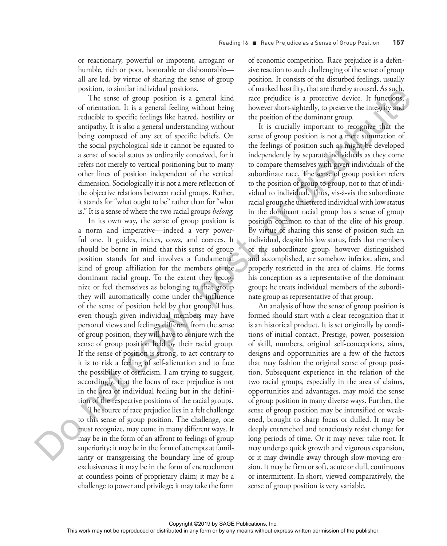or reactionary, powerful or impotent, arrogant or humble, rich or poor, honorable or dishonorable all are led, by virtue of sharing the sense of group position, to similar individual positions.

The sense of group position is a general kind of orientation. It is a general feeling without being reducible to specific feelings like hatred, hostility or antipathy. It is also a general understanding without being composed of any set of specific beliefs. On the social psychological side it cannot be equated to a sense of social status as ordinarily conceived, for it refers not merely to vertical positioning but to many other lines of position independent of the vertical dimension. Sociologically it is not a mere reflection of the objective relations between racial groups. Rather, it stands for "what ought to be" rather than for "what is." It is a sense of where the two racial groups *belong.*

In its own way, the sense of group position is a norm and imperative—indeed a very powerful one. It guides, incites, cows, and coerces. It should be borne in mind that this sense of group position stands for and involves a fundamental kind of group affiliation for the members of the dominant racial group. To the extent they recognize or feel themselves as belonging to that group they will automatically come under the influence of the sense of position held by that group. Thus, even though given individual members may have personal views and feelings different from the sense of group position, they will have to conjure with the sense of group position held by their racial group. If the sense of position is strong, to act contrary to it is to risk a feeling of self-alienation and to face the possibility of ostracism. I am trying to suggest, accordingly, that the locus of race prejudice is not in the area of individual feeling but in the definition of the respective positions of the racial groups.

The source of race prejudice lies in a felt challenge to this sense of group position. The challenge, one must recognize, may come in many different ways. It may be in the form of an affront to feelings of group superiority; it may be in the form of attempts at familiarity or transgressing the boundary line of group exclusiveness; it may be in the form of encroachment at countless points of proprietary claim; it may be a challenge to power and privilege; it may take the form

of economic competition. Race prejudice is a defensive reaction to such challenging of the sense of group position. It consists of the disturbed feelings, usually of marked hostility, that are thereby aroused. As such, race prejudice is a protective device. It functions, however short-sightedly, to preserve the integrity and the position of the dominant group.

It is crucially important to recognize that the sense of group position is not a mere summation of the feelings of position such as might be developed independently by separate individuals as they come to compare themselves with given individuals of the subordinate race. The sense of group position refers to the position of group to group, not to that of individual to individual. Thus, vis-à-vis the subordinate racial group the unlettered individual with low status in the dominant racial group has a sense of group position common to that of the elite of his group. By virtue of sharing this sense of position such an individual, despite his low status, feels that members of the subordinate group, however distinguished and accomplished, are somehow inferior, alien, and properly restricted in the area of claims. He forms his conception as a representative of the dominant group; he treats individual members of the subordinate group as representative of that group.

An analysis of how the sense of group position is formed should start with a clear recognition that it is an historical product. It is set originally by conditions of initial contact. Prestige, power, possession of skill, numbers, original self-conceptions, aims, designs and opportunities are a few of the factors that may fashion the original sense of group position. Subsequent experience in the relation of the two racial groups, especially in the area of claims, opportunities and advantages, may mold the sense of group position in many diverse ways. Further, the sense of group position may be intensified or weakened, brought to sharp focus or dulled. It may be deeply entrenched and tenaciously resist change for long periods of time. Or it may never take root. It may undergo quick growth and vigorous expansion, or it may dwindle away through slow-moving erosion. It may be firm or soft, acute or dull, continuous or intermittent. In short, viewed comparatively, the sense of group position is very variable. The mass is a straight in a straight in a straight or distributed in any form of the reproduced or distributed in any form or by any form or by any form or by any form or by any form of the publisher. This are proof of th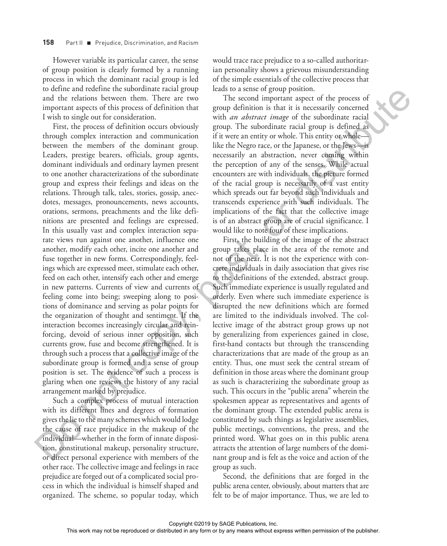However variable its particular career, the sense of group position is clearly formed by a running process in which the dominant racial group is led to define and redefine the subordinate racial group and the relations between them. There are two important aspects of this process of definition that I wish to single out for consideration.

First, the process of definition occurs obviously through complex interaction and communication between the members of the dominant group. Leaders, prestige bearers, officials, group agents, dominant individuals and ordinary laymen present to one another characterizations of the subordinate group and express their feelings and ideas on the relations. Through talk, tales, stories, gossip, anecdotes, messages, pronouncements, news accounts, orations, sermons, preachments and the like definitions are presented and feelings are expressed. In this usually vast and complex interaction separate views run against one another, influence one another, modify each other, incite one another and fuse together in new forms. Correspondingly, feelings which are expressed meet, stimulate each other, feed on each other, intensify each other and emerge in new patterns. Currents of view and currents of feeling come into being; sweeping along to positions of dominance and serving as polar points for the organization of thought and sentiment. If the interaction becomes increasingly circular and reinforcing, devoid of serious inner opposition, such currents grow, fuse and become strengthened. It is through such a process that a collective image of the subordinate group is formed and a sense of group position is set. The evidence of such a process is glaring when one reviews the history of any racial arrangement marked by prejudice. To distribute the restriction of the publishering or distributed or distributed in any means of the restriction or distributed in any or by any means with the distributed in any or by any form of the publisher. Figure 1.1

Such a complex process of mutual interaction with its different lines and degrees of formation gives the lie to the many schemes which would lodge the cause of race prejudice in the makeup of the individual—whether in the form of innate disposition, constitutional makeup, personality structure, or direct personal experience with members of the other race. The collective image and feelings in race prejudice are forged out of a complicated social process in which the individual is himself shaped and organized. The scheme, so popular today, which

would trace race prejudice to a so-called authoritarian personality shows a grievous misunderstanding of the simple essentials of the collective process that leads to a sense of group position.

The second important aspect of the process of group definition is that it is necessarily concerned with *an abstract image* of the subordinate racial group. The subordinate racial group is defined as if it were an entity or whole. This entity or whole like the Negro race, or the Japanese, or the Jews—is necessarily an abstraction, never coming within the perception of any of the senses. While actual encounters are with individuals, the picture formed of the racial group is necessarily of a vast entity which spreads out far beyond such individuals and transcends experience with such individuals. The implications of the fact that the collective image is of an abstract group are of crucial significance. I would like to note four of these implications.

First, the building of the image of the abstract group takes place in the area of the remote and not of the near. It is not the experience with concrete individuals in daily association that gives rise to the definitions of the extended, abstract group. Such immediate experience is usually regulated and orderly. Even where such immediate experience is disrupted the new definitions which are formed are limited to the individuals involved. The collective image of the abstract group grows up not by generalizing from experiences gained in close, first-hand contacts but through the transcending characterizations that are made of the group as an entity. Thus, one must seek the central stream of definition in those areas where the dominant group as such is characterizing the subordinate group as such. This occurs in the "public arena" wherein the spokesmen appear as representatives and agents of the dominant group. The extended public arena is constituted by such things as legislative assemblies, public meetings, conventions, the press, and the printed word. What goes on in this public arena attracts the attention of large numbers of the dominant group and is felt as the voice and action of the group as such.

Second, the definitions that are forged in the public arena center, obviously, about matters that are felt to be of major importance. Thus, we are led to